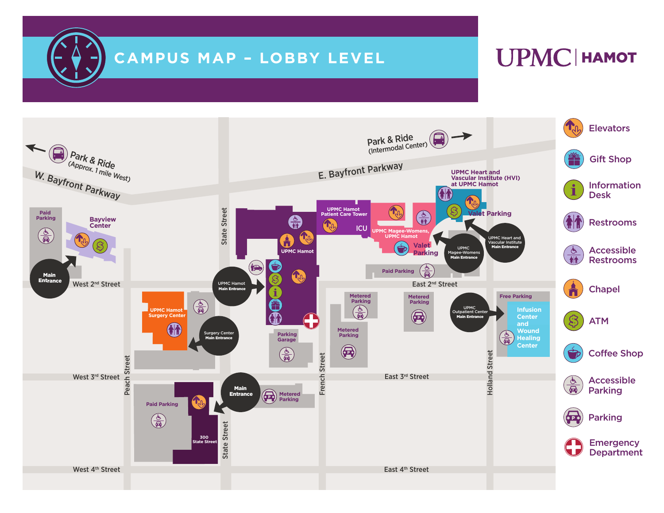# **CAMPUS MAP – LOBBY LEVEL**

# **UPMC HAMOT**